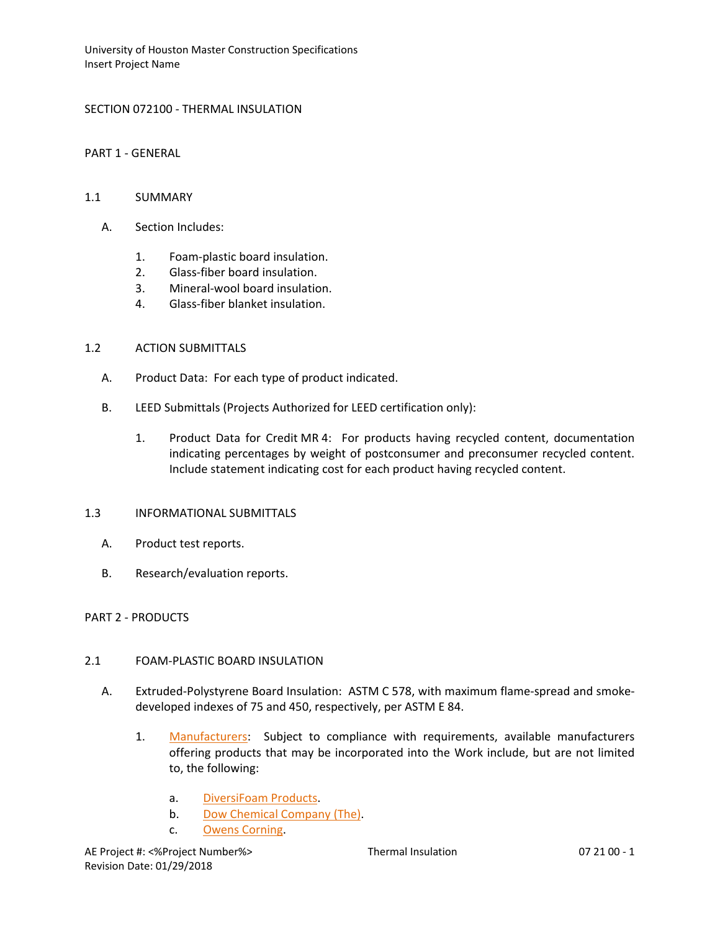University of Houston Master Construction Specifications Insert Project Name

### SECTION 072100 - THERMAL INSULATION

PART 1 - GENERAL

#### 1.1 SUMMARY

- A. Section Includes:
	- 1. Foam-plastic board insulation.
	- 2. Glass-fiber board insulation.
	- 3. Mineral-wool board insulation.
	- 4. Glass-fiber blanket insulation.

#### 1.2 ACTION SUBMITTALS

- A. Product Data: For each type of product indicated.
- B. LEED Submittals (Projects Authorized for LEED certification only):
	- 1. Product Data for Credit MR 4: For products having recycled content, documentation indicating percentages by weight of postconsumer and preconsumer recycled content. Include statement indicating cost for each product having recycled content.

#### 1.3 INFORMATIONAL SUBMITTALS

- A. Product test reports.
- B. Research/evaluation reports.

#### PART 2 - PRODUCTS

#### 2.1 FOAM-PLASTIC BOARD INSULATION

- A. Extruded-Polystyrene Board Insulation: ASTM C 578, with maximum flame-spread and smokedeveloped indexes of 75 and 450, respectively, per ASTM E 84.
	- 1. [Manufacturers:](http://www.specagent.com/LookUp/?ulid=952&mf=04&src=wd) Subject to compliance with requirements, available manufacturers offering products that may be incorporated into the Work include, but are not limited to, the following:
		- a. [DiversiFoam Products.](http://www.specagent.com/LookUp/?uid=123456798316&mf=04&src=wd)
		- b. [Dow Chemical Company \(The\).](http://www.specagent.com/LookUp/?uid=123456798314&mf=04&src=wd)
		- c. [Owens Corning.](http://www.specagent.com/LookUp/?uid=123456798312&mf=04&src=wd)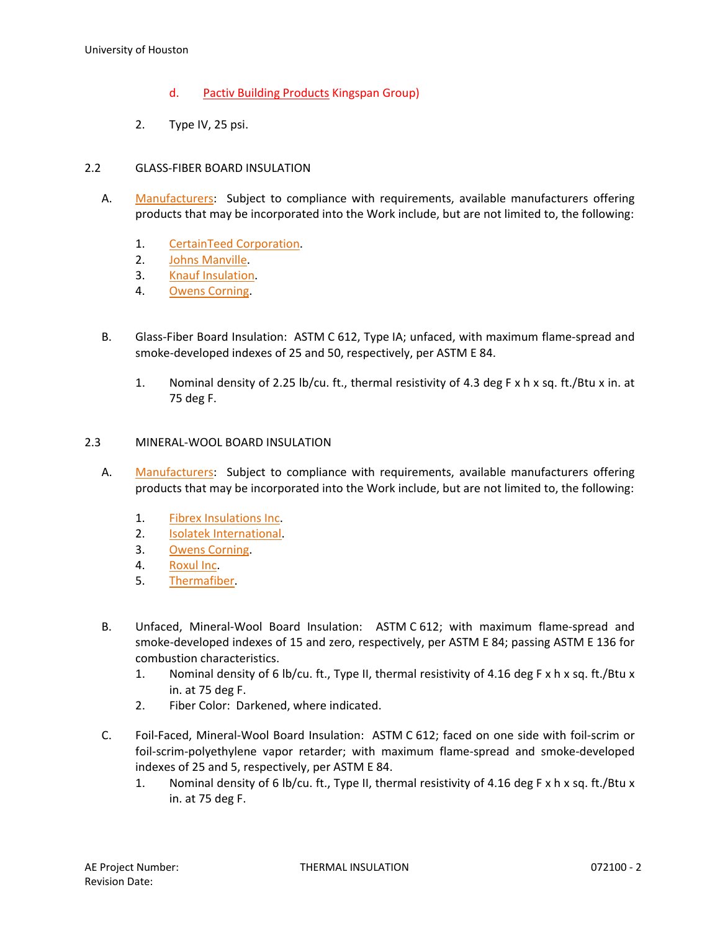- d. Pactiv Building Products Kingspan Group)
- 2. Type IV, 25 psi.

# 2.2 GLASS-FIBER BOARD INSULATION

- A. [Manufacturers:](http://www.specagent.com/LookUp/?ulid=956&mf=04&src=wd) Subject to compliance with requirements, available manufacturers offering products that may be incorporated into the Work include, but are not limited to, the following:
	- 1. [CertainTeed Corporation.](http://www.specagent.com/LookUp/?uid=123456798269&mf=04&src=wd)
	- 2. [Johns Manville.](http://www.specagent.com/LookUp/?uid=123456798268&mf=04&src=wd)
	- 3. [Knauf Insulation.](http://www.specagent.com/LookUp/?uid=123456798271&mf=04&src=wd)
	- 4. [Owens Corning.](http://www.specagent.com/LookUp/?uid=123456798272&mf=04&src=wd)
- B. Glass-Fiber Board Insulation: ASTM C 612, Type IA; unfaced, with maximum flame-spread and smoke-developed indexes of 25 and 50, respectively, per ASTM E 84.
	- 1. Nominal density of 2.25 lb/cu. ft., thermal resistivity of 4.3 deg F x h x sq. ft./Btu x in. at 75 deg F.

### 2.3 MINERAL-WOOL BOARD INSULATION

- A. [Manufacturers:](http://www.specagent.com/LookUp/?ulid=957&mf=04&src=wd) Subject to compliance with requirements, available manufacturers offering products that may be incorporated into the Work include, but are not limited to, the following:
	- 1. [Fibrex Insulations Inc.](http://www.specagent.com/LookUp/?uid=123456798273&mf=04&src=wd)
	- 2. [Isolatek International.](http://www.specagent.com/LookUp/?uid=123456798274&mf=04&src=wd)
	- 3. [Owens Corning.](http://www.specagent.com/LookUp/?uid=123456798275&mf=04&src=wd)
	- 4. [Roxul Inc.](http://www.specagent.com/LookUp/?uid=123456798277&mf=04&src=wd)
	- 5. [Thermafiber.](http://www.specagent.com/LookUp/?uid=123456798279&mf=04&src=wd)
- B. Unfaced, Mineral-Wool Board Insulation: ASTM C 612; with maximum flame-spread and smoke-developed indexes of 15 and zero, respectively, per ASTM E 84; passing ASTM E 136 for combustion characteristics.
	- 1. Nominal density of 6 lb/cu. ft., Type II, thermal resistivity of 4.16 deg F x h x sq. ft./Btu x in. at 75 deg F.
	- 2. Fiber Color: Darkened, where indicated.
- C. Foil-Faced, Mineral-Wool Board Insulation: ASTM C 612; faced on one side with foil-scrim or foil-scrim-polyethylene vapor retarder; with maximum flame-spread and smoke-developed indexes of 25 and 5, respectively, per ASTM E 84.
	- 1. Nominal density of 6 lb/cu. ft., Type II, thermal resistivity of 4.16 deg F x h x sq. ft./Btu x in. at 75 deg F.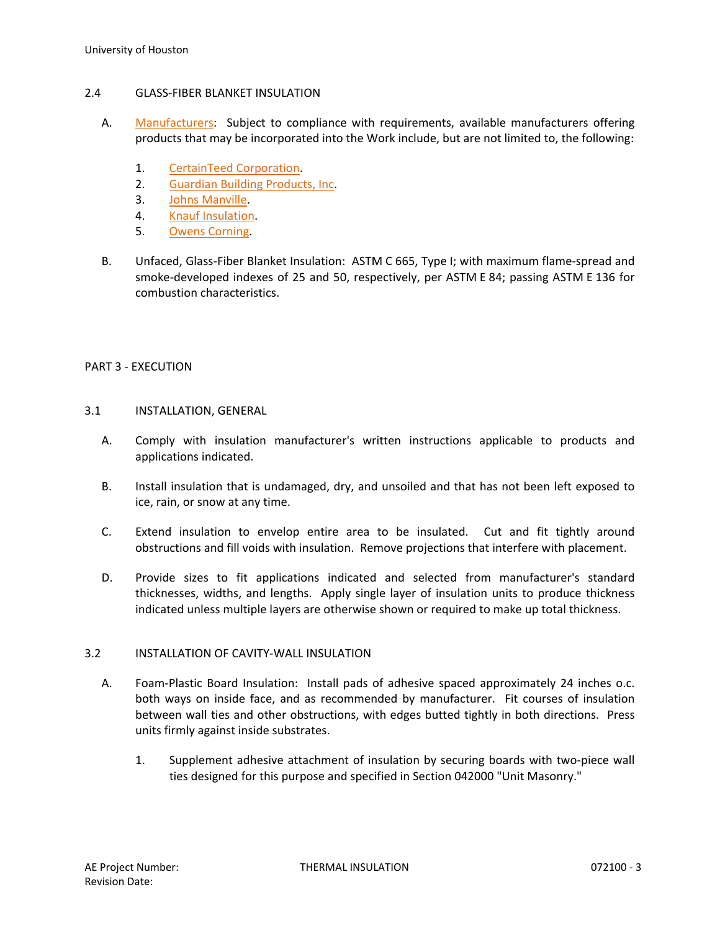#### 2.4 GLASS-FIBER BLANKET INSULATION

- A. [Manufacturers:](http://www.specagent.com/LookUp/?ulid=958&mf=04&src=wd) Subject to compliance with requirements, available manufacturers offering products that may be incorporated into the Work include, but are not limited to, the following:
	- 1. [CertainTeed Corporation.](http://www.specagent.com/LookUp/?uid=123456798280&mf=04&src=wd)
	- 2. [Guardian Building Products, Inc.](http://www.specagent.com/LookUp/?uid=123456798281&mf=04&src=wd)
	- 3. [Johns Manville.](http://www.specagent.com/LookUp/?uid=123456798282&mf=04&src=wd)
	- 4. [Knauf Insulation.](http://www.specagent.com/LookUp/?uid=123456798283&mf=04&src=wd)
	- 5. [Owens Corning.](http://www.specagent.com/LookUp/?uid=123456798284&mf=04&src=wd)
- B. Unfaced, Glass-Fiber Blanket Insulation: ASTM C 665, Type I; with maximum flame-spread and smoke-developed indexes of 25 and 50, respectively, per ASTM E 84; passing ASTM E 136 for combustion characteristics.

### PART 3 - EXECUTION

- 3.1 INSTALLATION, GENERAL
	- A. Comply with insulation manufacturer's written instructions applicable to products and applications indicated.
	- B. Install insulation that is undamaged, dry, and unsoiled and that has not been left exposed to ice, rain, or snow at any time.
	- C. Extend insulation to envelop entire area to be insulated. Cut and fit tightly around obstructions and fill voids with insulation. Remove projections that interfere with placement.
	- D. Provide sizes to fit applications indicated and selected from manufacturer's standard thicknesses, widths, and lengths. Apply single layer of insulation units to produce thickness indicated unless multiple layers are otherwise shown or required to make up total thickness.

### 3.2 INSTALLATION OF CAVITY-WALL INSULATION

- A. Foam-Plastic Board Insulation: Install pads of adhesive spaced approximately 24 inches o.c. both ways on inside face, and as recommended by manufacturer. Fit courses of insulation between wall ties and other obstructions, with edges butted tightly in both directions. Press units firmly against inside substrates.
	- 1. Supplement adhesive attachment of insulation by securing boards with two-piece wall ties designed for this purpose and specified in Section 042000 "Unit Masonry."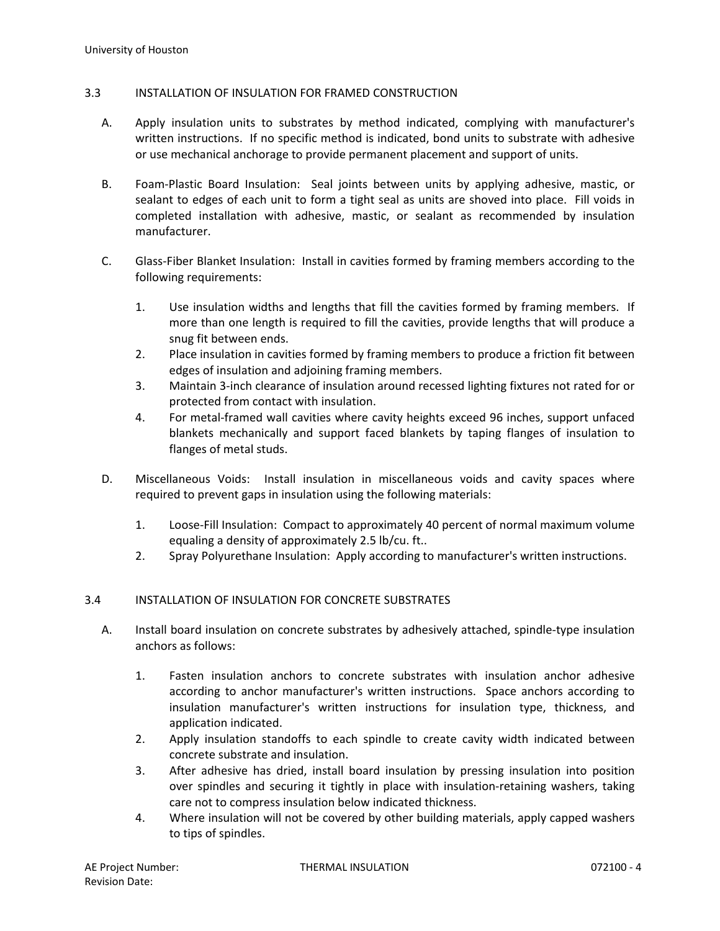# 3.3 INSTALLATION OF INSULATION FOR FRAMED CONSTRUCTION

- A. Apply insulation units to substrates by method indicated, complying with manufacturer's written instructions. If no specific method is indicated, bond units to substrate with adhesive or use mechanical anchorage to provide permanent placement and support of units.
- B. Foam-Plastic Board Insulation: Seal joints between units by applying adhesive, mastic, or sealant to edges of each unit to form a tight seal as units are shoved into place. Fill voids in completed installation with adhesive, mastic, or sealant as recommended by insulation manufacturer.
- C. Glass-Fiber Blanket Insulation: Install in cavities formed by framing members according to the following requirements:
	- 1. Use insulation widths and lengths that fill the cavities formed by framing members. If more than one length is required to fill the cavities, provide lengths that will produce a snug fit between ends.
	- 2. Place insulation in cavities formed by framing members to produce a friction fit between edges of insulation and adjoining framing members.
	- 3. Maintain 3-inch clearance of insulation around recessed lighting fixtures not rated for or protected from contact with insulation.
	- 4. For metal-framed wall cavities where cavity heights exceed 96 inches, support unfaced blankets mechanically and support faced blankets by taping flanges of insulation to flanges of metal studs.
- D. Miscellaneous Voids: Install insulation in miscellaneous voids and cavity spaces where required to prevent gaps in insulation using the following materials:
	- 1. Loose-Fill Insulation: Compact to approximately 40 percent of normal maximum volume equaling a density of approximately 2.5 lb/cu. ft..
	- 2. Spray Polyurethane Insulation: Apply according to manufacturer's written instructions.

# 3.4 INSTALLATION OF INSULATION FOR CONCRETE SUBSTRATES

- A. Install board insulation on concrete substrates by adhesively attached, spindle-type insulation anchors as follows:
	- 1. Fasten insulation anchors to concrete substrates with insulation anchor adhesive according to anchor manufacturer's written instructions. Space anchors according to insulation manufacturer's written instructions for insulation type, thickness, and application indicated.
	- 2. Apply insulation standoffs to each spindle to create cavity width indicated between concrete substrate and insulation.
	- 3. After adhesive has dried, install board insulation by pressing insulation into position over spindles and securing it tightly in place with insulation-retaining washers, taking care not to compress insulation below indicated thickness.
	- 4. Where insulation will not be covered by other building materials, apply capped washers to tips of spindles.